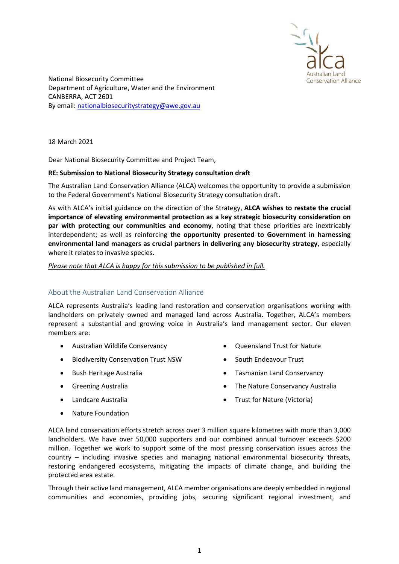

National Biosecurity Committee Department of Agriculture, Water and the Environment CANBERRA, ACT 2601 By email: nationalbiosecuritystrategy@awe.gov.au

18 March 2021

Dear National Biosecurity Committee and Project Team,

## RE: Submission to National Biosecurity Strategy consultation draft

The Australian Land Conservation Alliance (ALCA) welcomes the opportunity to provide a submission to the Federal Government's National Biosecurity Strategy consultation draft.

As with ALCA's initial guidance on the direction of the Strategy, ALCA wishes to restate the crucial importance of elevating environmental protection as a key strategic biosecurity consideration on par with protecting our communities and economy, noting that these priorities are inextricably interdependent; as well as reinforcing the opportunity presented to Government in harnessing environmental land managers as crucial partners in delivering any biosecurity strategy, especially where it relates to invasive species.

## Please note that ALCA is happy for this submission to be published in full.

# About the Australian Land Conservation Alliance

ALCA represents Australia's leading land restoration and conservation organisations working with landholders on privately owned and managed land across Australia. Together, ALCA's members represent a substantial and growing voice in Australia's land management sector. Our eleven members are:

- Australian Wildlife Conservancy
- **•** Biodiversity Conservation Trust NSW
- Bush Heritage Australia
- **•** Greening Australia
- Landcare Australia
- Nature Foundation
- Oueensland Trust for Nature
- South Endeavour Trust
- **•** Tasmanian Land Conservancy
- The Nature Conservancy Australia
- Trust for Nature (Victoria)

ALCA land conservation efforts stretch across over 3 million square kilometres with more than 3,000 landholders. We have over 50,000 supporters and our combined annual turnover exceeds \$200 million. Together we work to support some of the most pressing conservation issues across the country – including invasive species and managing national environmental biosecurity threats, restoring endangered ecosystems, mitigating the impacts of climate change, and building the protected area estate.

Through their active land management, ALCA member organisations are deeply embedded in regional communities and economies, providing jobs, securing significant regional investment, and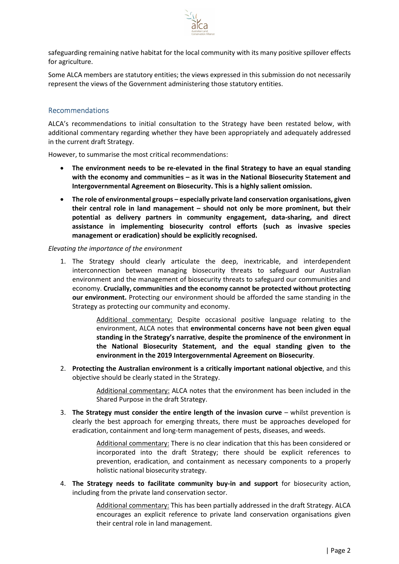

safeguarding remaining native habitat for the local community with its many positive spillover effects for agriculture.

Some ALCA members are statutory entities; the views expressed in this submission do not necessarily represent the views of the Government administering those statutory entities.

# Recommendations

ALCA's recommendations to initial consultation to the Strategy have been restated below, with additional commentary regarding whether they have been appropriately and adequately addressed in the current draft Strategy.

However, to summarise the most critical recommendations:

- The environment needs to be re-elevated in the final Strategy to have an equal standing with the economy and communities – as it was in the National Biosecurity Statement and Intergovernmental Agreement on Biosecurity. This is a highly salient omission.
- The role of environmental groups especially private land conservation organisations, given their central role in land management – should not only be more prominent, but their potential as delivery partners in community engagement, data-sharing, and direct assistance in implementing biosecurity control efforts (such as invasive species management or eradication) should be explicitly recognised.

#### Elevating the importance of the environment

1. The Strategy should clearly articulate the deep, inextricable, and interdependent interconnection between managing biosecurity threats to safeguard our Australian environment and the management of biosecurity threats to safeguard our communities and economy. Crucially, communities and the economy cannot be protected without protecting our environment. Protecting our environment should be afforded the same standing in the Strategy as protecting our community and economy.

> Additional commentary: Despite occasional positive language relating to the environment, ALCA notes that environmental concerns have not been given equal standing in the Strategy's narrative, despite the prominence of the environment in the National Biosecurity Statement, and the equal standing given to the environment in the 2019 Intergovernmental Agreement on Biosecurity.

2. Protecting the Australian environment is a critically important national objective, and this objective should be clearly stated in the Strategy.

> Additional commentary: ALCA notes that the environment has been included in the Shared Purpose in the draft Strategy.

3. The Strategy must consider the entire length of the invasion curve  $-$  whilst prevention is clearly the best approach for emerging threats, there must be approaches developed for eradication, containment and long-term management of pests, diseases, and weeds.

> Additional commentary: There is no clear indication that this has been considered or incorporated into the draft Strategy; there should be explicit references to prevention, eradication, and containment as necessary components to a properly holistic national biosecurity strategy.

4. The Strategy needs to facilitate community buy-in and support for biosecurity action, including from the private land conservation sector.

> Additional commentary: This has been partially addressed in the draft Strategy. ALCA encourages an explicit reference to private land conservation organisations given their central role in land management.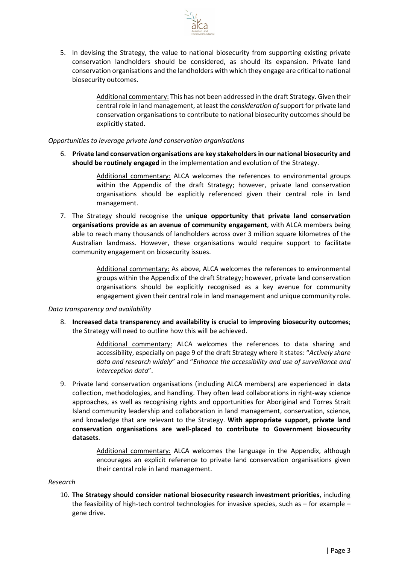

5. In devising the Strategy, the value to national biosecurity from supporting existing private conservation landholders should be considered, as should its expansion. Private land conservation organisations and the landholders with which they engage are critical to national biosecurity outcomes.

> Additional commentary: This has not been addressed in the draft Strategy. Given their central role in land management, at least the consideration of support for private land conservation organisations to contribute to national biosecurity outcomes should be explicitly stated.

Opportunities to leverage private land conservation organisations

6. Private land conservation organisations are key stakeholders in our national biosecurity and should be routinely engaged in the implementation and evolution of the Strategy.

> Additional commentary: ALCA welcomes the references to environmental groups within the Appendix of the draft Strategy; however, private land conservation organisations should be explicitly referenced given their central role in land management.

7. The Strategy should recognise the unique opportunity that private land conservation organisations provide as an avenue of community engagement, with ALCA members being able to reach many thousands of landholders across over 3 million square kilometres of the Australian landmass. However, these organisations would require support to facilitate community engagement on biosecurity issues.

> Additional commentary: As above, ALCA welcomes the references to environmental groups within the Appendix of the draft Strategy; however, private land conservation organisations should be explicitly recognised as a key avenue for community engagement given their central role in land management and unique community role.

### Data transparency and availability

8. Increased data transparency and availability is crucial to improving biosecurity outcomes; the Strategy will need to outline how this will be achieved.

> Additional commentary: ALCA welcomes the references to data sharing and accessibility, especially on page 9 of the draft Strategy where it states: "Actively share data and research widely" and "Enhance the accessibility and use of surveillance and interception data".

9. Private land conservation organisations (including ALCA members) are experienced in data collection, methodologies, and handling. They often lead collaborations in right-way science approaches, as well as recognising rights and opportunities for Aboriginal and Torres Strait Island community leadership and collaboration in land management, conservation, science, and knowledge that are relevant to the Strategy. With appropriate support, private land conservation organisations are well-placed to contribute to Government biosecurity datasets.

> Additional commentary: ALCA welcomes the language in the Appendix, although encourages an explicit reference to private land conservation organisations given their central role in land management.

#### Research

10. The Strategy should consider national biosecurity research investment priorities, including the feasibility of high-tech control technologies for invasive species, such as  $-$  for example  $$ gene drive.